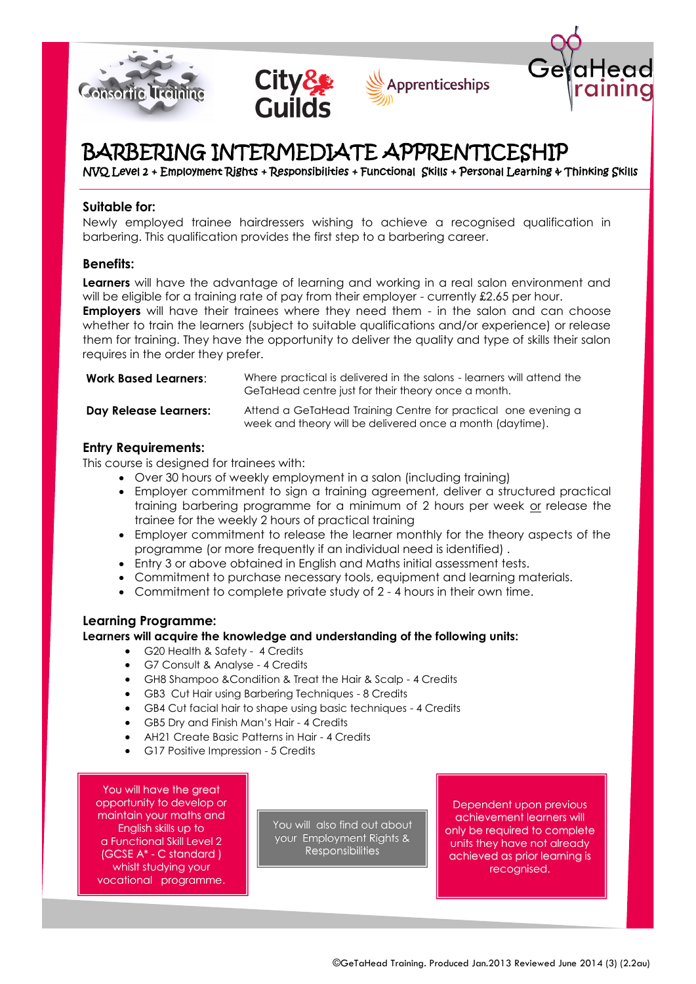







# BARBERING INTERMEDIATE APPRENTICESHIP

NVQ Level 2 + Employment Rights + Responsibilities + Functional Skills + Personal Learning & Thinking Skills

# **Suitable for:**

Newly employed trainee hairdressers wishing to achieve a recognised qualification in barbering. This qualification provides the first step to a barbering career.

# **Benefits:**

**Learners** will have the advantage of learning and working in a real salon environment and will be eligible for a training rate of pay from their employer - currently £2.65 per hour. **Employers** will have their trainees where they need them - in the salon and can choose whether to train the learners (subject to suitable qualifications and/or experience) or release them for training. They have the opportunity to deliver the quality and type of skills their salon requires in the order they prefer.

| <b>Work Based Learners:</b> | Where practical is delivered in the salons - learners will attend the<br>GeTaHead centre just for their theory once a month. |
|-----------------------------|------------------------------------------------------------------------------------------------------------------------------|
| Day Release Learners:       | Attend a GeTaHead Training Centre for practical one evening a<br>week and theory will be delivered once a month (daytime).   |

# **Entry Requirements:**

This course is designed for trainees with:

- Over 30 hours of weekly employment in a salon (including training)
- Employer commitment to sign a training agreement, deliver a structured practical training barbering programme for a minimum of 2 hours per week or release the trainee for the weekly 2 hours of practical training
- Employer commitment to release the learner monthly for the theory aspects of the programme (or more frequently if an individual need is identified) .
- Entry 3 or above obtained in English and Maths initial assessment tests.
- Commitment to purchase necessary tools, equipment and learning materials.
- Commitment to complete private study of 2 4 hours in their own time.

## **Learning Programme:**

## **Learners will acquire the knowledge and understanding of the following units:**

- G20 Health & Safety 4 Credits
- G7 Consult & Analyse 4 Credits
- GH8 Shampoo &Condition & Treat the Hair & Scalp 4 Credits
- GB3 Cut Hair using Barbering Techniques 8 Credits
- GB4 Cut facial hair to shape using basic techniques 4 Credits
- GB5 Dry and Finish Man's Hair 4 Credits
- AH21 Create Basic Patterns in Hair 4 Credits
- G17 Positive Impression 5 Credits

You will have the great opportunity to develop or maintain your maths and English skills up to a Functional Skill Level 2 (GCSE A\* - C standard ) whislt studying your vocational programme.

You will also find out about your Employment Rights & Responsibilities

Dependent upon previous achievement learners will only be required to complete units they have not already achieved as prior learning is recognised.